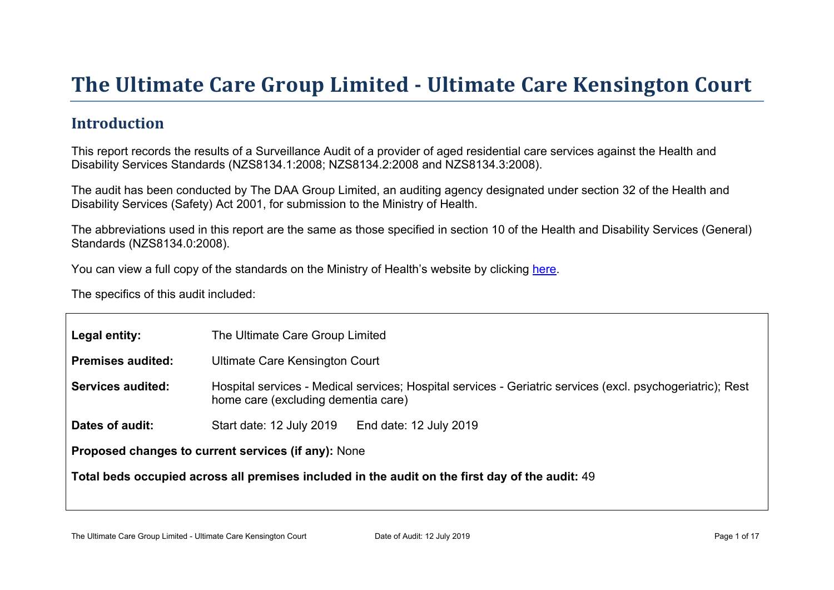# The Ultimate Car e Gr oup Limited - Ultimate Car e Kensington Court

#### Introduction

This report records the results of a Surveillance Audit of a provider of aged residential care services against the Health and Disability Services Standards (NZS8134.1:2008; NZS8134.2:2008 and NZS8134.3:2008).

The audit has been conducted by The DAA Group Limited, an auditing agency designated under section 32 of the Health and Disability Services (Safety) Act 2001, for submission to the Ministry of Health.

The abbreviations used in this report are the same as those specified in section 10 of the Health and Disability Services (General) Standards (NZS8134.0:2008).

You can view a full copy of the standards on the Ministry of Health's website by clicking [here.](http://www.health.govt.nz/our-work/regulation-health-and-disability-system/certification-health-care-services/health-and-disability-services-standards)

The specifics of this audit included:

| Legal entity:                                          | The Ultimate Care Group Limited                                                                                                                   |  |  |  |
|--------------------------------------------------------|---------------------------------------------------------------------------------------------------------------------------------------------------|--|--|--|
| Premises audited:                                      | <b>Ultimate Care Kensington Court</b>                                                                                                             |  |  |  |
| Services audited:                                      | Hospital services - Medical services; Hospital services - Geriatric services (excl. psychogeriatric); Rest<br>home care (excluding dementia care) |  |  |  |
| Dates of audit:                                        | Start date: 12 July 2019<br>End date: 12 July 2019                                                                                                |  |  |  |
| Proposed changes to current<br>services (if any): None |                                                                                                                                                   |  |  |  |
|                                                        | Total beds occupied across all premises included<br>in the audit on the first day of the audit: 49                                                |  |  |  |
|                                                        |                                                                                                                                                   |  |  |  |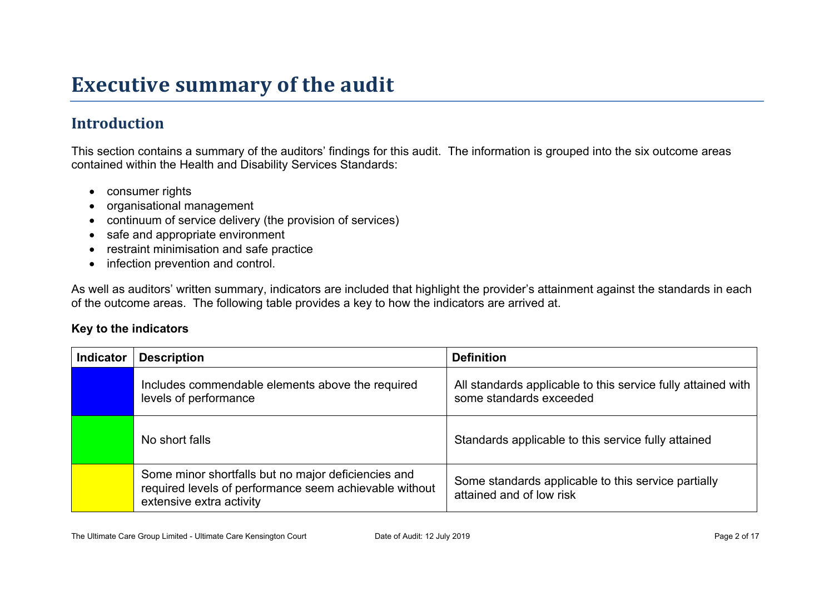## **Executive summary of the audit**

### **Introduction**

This section contains a summary of the auditors' findings for this audit. The information is grouped into the six outcome areas contained within the Health and Disability Services Standards:

- consumer rights
- organisational management
- continuum of service delivery (the provision of services)
- safe and appropriate environment
- restraint minimisation and safe practice
- infection prevention and control.

As well as auditors' written summary, indicators are included that highlight the provider's attainment against the standards in each of the outcome areas. The following table provides a key to how the indicators are arrived at.

#### **Key to the indicators**

| <b>Indicator</b> | <b>Description</b>                                                                                                                        | <b>Definition</b>                                                                       |
|------------------|-------------------------------------------------------------------------------------------------------------------------------------------|-----------------------------------------------------------------------------------------|
|                  | Includes commendable elements above the required<br>levels of performance                                                                 | All standards applicable to this service fully attained with<br>some standards exceeded |
|                  | No short falls                                                                                                                            | Standards applicable to this service fully attained                                     |
|                  | Some minor shortfalls but no major deficiencies and<br>required levels of performance seem achievable without<br>extensive extra activity | Some standards applicable to this service partially<br>attained and of low risk         |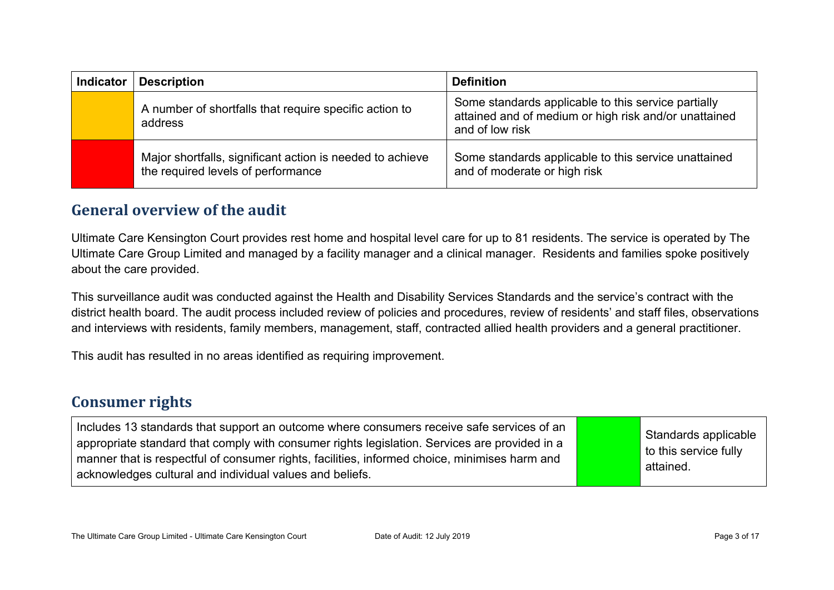| <b>Indicator</b> | <b>Description</b>                                                                              | <b>Definition</b>                                                                                                               |
|------------------|-------------------------------------------------------------------------------------------------|---------------------------------------------------------------------------------------------------------------------------------|
|                  | A number of shortfalls that require specific action to<br>address                               | Some standards applicable to this service partially<br>attained and of medium or high risk and/or unattained<br>and of low risk |
|                  | Major shortfalls, significant action is needed to achieve<br>the required levels of performance | Some standards applicable to this service unattained<br>and of moderate or high risk                                            |

#### **General overview of the audit**

Ultimate Care Kensington Court provides rest home and hospital level care for up to 81 residents. The service is operated by The Ultimate Care Group Limited and managed by a facility manager and a clinical manager. Residents and families spoke positively about the care provided.

This surveillance audit was conducted against the Health and Disability Services Standards and the service's contract with the district health board. The audit process included review of policies and procedures, review of residents' and staff files, observations and interviews with residents, family members, management, staff, contracted allied health providers and a general practitioner.

This audit has resulted in no areas identified as requiring improvement.

#### **Consumer rights**

| Includes 13 standards that support an outcome where consumers receive safe services of an<br>appropriate standard that comply with consumer rights legislation. Services are provided in a<br>manner that is respectful of consumer rights, facilities, informed choice, minimises harm and<br>acknowledges cultural and individual values and beliefs. |  | Standards applicable<br>to this service fully<br>attained. |
|---------------------------------------------------------------------------------------------------------------------------------------------------------------------------------------------------------------------------------------------------------------------------------------------------------------------------------------------------------|--|------------------------------------------------------------|
|---------------------------------------------------------------------------------------------------------------------------------------------------------------------------------------------------------------------------------------------------------------------------------------------------------------------------------------------------------|--|------------------------------------------------------------|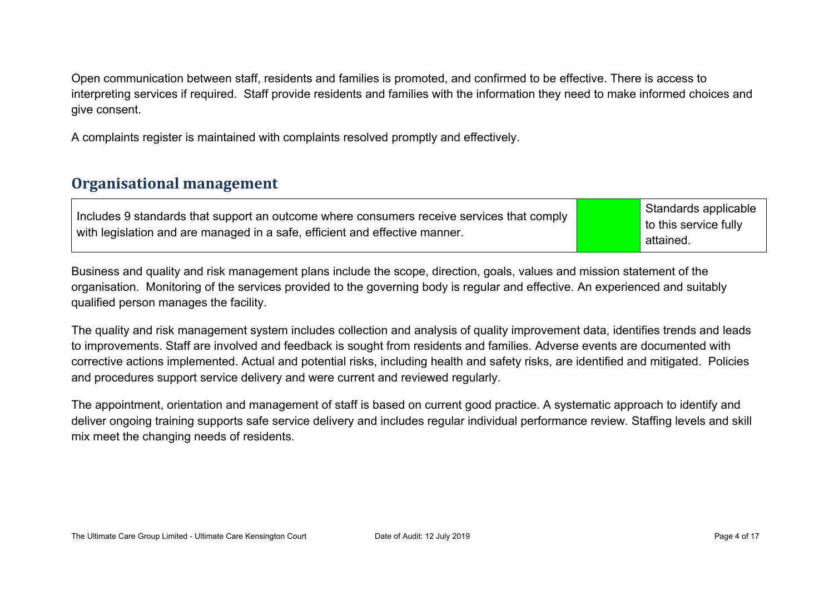Open communication between staff, residents and families is promoted, and confirmed to be effective. There is access to interpreting services if required. Staff provide residents and families with the information they need to make informed choices and give consent.

A complaints register is maintained with complaints resolved promptly and effectively.

#### **Organisational management**

| Includes 9 standards that support an outcome where consumers receive services that comply |  | Standards applicable  |
|-------------------------------------------------------------------------------------------|--|-----------------------|
|                                                                                           |  | to this service fully |
| with legislation and are managed in a safe, efficient and effective manner.               |  | attained.             |

Business and quality and risk management plans include the scope, direction, goals, values and mission statement of the organisation. Monitoring of the services provided to the governing body is regular and effective. An experienced and suitably qualified person manages the facility.

The quality and risk management system includes collection and analysis of quality improvement data, identifies trends and leads to improvements. Staff are involved and feedback is sought from residents and families. Adverse events are documented with corrective actions implemented. Actual and potential risks, including health and safety risks, are identified and mitigated. Policies and procedures support service delivery and were current and reviewed regularly.

The appointment, orientation and management of staff is based on current good practice. A systematic approach to identify and deliver ongoing training supports safe service delivery and includes regular individual performance review. Staffing levels and skill mix meet the changing needs of residents.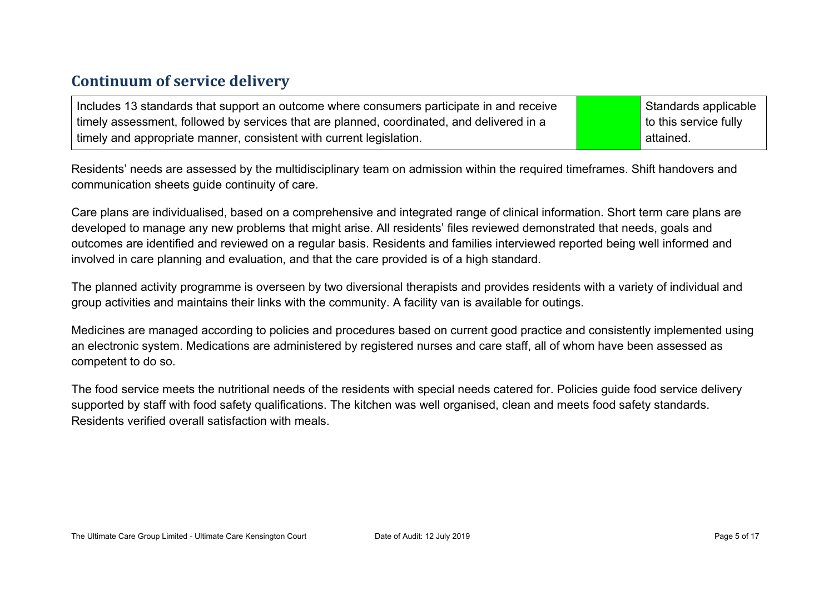#### **Continuum of service delivery**

Includes 13 standards that support an outcome where consumers participate in and receive timely assessment, followed by services that are planned, coordinated, and delivered in a timely and appropriate manner, consistent with current legislation.

Standards applicable to this service fully attained.

Residents' needs are assessed by the multidisciplinary team on admission within the required timeframes. Shift handovers and communication sheets guide continuity of care.

Care plans are individualised, based on a comprehensive and integrated range of clinical information. Short term care plans are developed to manage any new problems that might arise. All residents' files reviewed demonstrated that needs, goals and outcomes are identified and reviewed on a regular basis. Residents and families interviewed reported being well informed and involved in care planning and evaluation, and that the care provided is of a high standard.

The planned activity programme is overseen by two diversional therapists and provides residents with a variety of individual and group activities and maintains their links with the community. A facility van is available for outings.

Medicines are managed according to policies and procedures based on current good practice and consistently implemented using an electronic system. Medications are administered by registered nurses and care staff, all of whom have been assessed as competent to do so.

The food service meets the nutritional needs of the residents with special needs catered for. Policies guide food service delivery supported by staff with food safety qualifications. The kitchen was well organised, clean and meets food safety standards. Residents verified overall satisfaction with meals.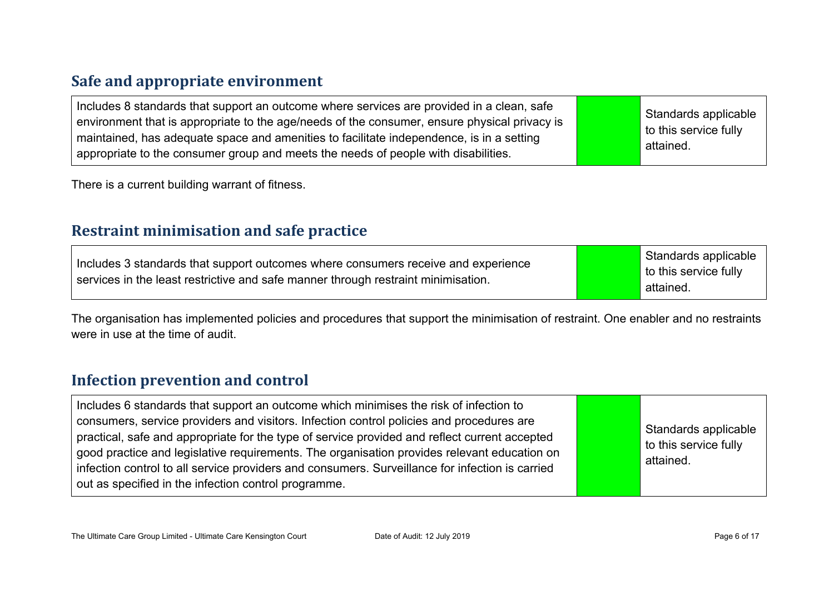#### **Safe and appropriate environment**

| Includes 8 standards that support an outcome where services are provided in a clean, safe<br>environment that is appropriate to the age/needs of the consumer, ensure physical privacy is<br>maintained, has adequate space and amenities to facilitate independence, is in a setting<br>appropriate to the consumer group and meets the needs of people with disabilities. |  | Standards applicable<br>to this service fully<br>attained. |
|-----------------------------------------------------------------------------------------------------------------------------------------------------------------------------------------------------------------------------------------------------------------------------------------------------------------------------------------------------------------------------|--|------------------------------------------------------------|
|-----------------------------------------------------------------------------------------------------------------------------------------------------------------------------------------------------------------------------------------------------------------------------------------------------------------------------------------------------------------------------|--|------------------------------------------------------------|

There is a current building warrant of fitness.

#### **Restraint minimisation and safe practice**

| Includes 3 standards that support outcomes where consumers receive and experience<br>services in the least restrictive and safe manner through restraint minimisation. | Standards applicable<br>to this service fully<br>attained. |
|------------------------------------------------------------------------------------------------------------------------------------------------------------------------|------------------------------------------------------------|
|------------------------------------------------------------------------------------------------------------------------------------------------------------------------|------------------------------------------------------------|

The organisation has implemented policies and procedures that support the minimisation of restraint. One enabler and no restraints were in use at the time of audit.

#### **Infection prevention and control**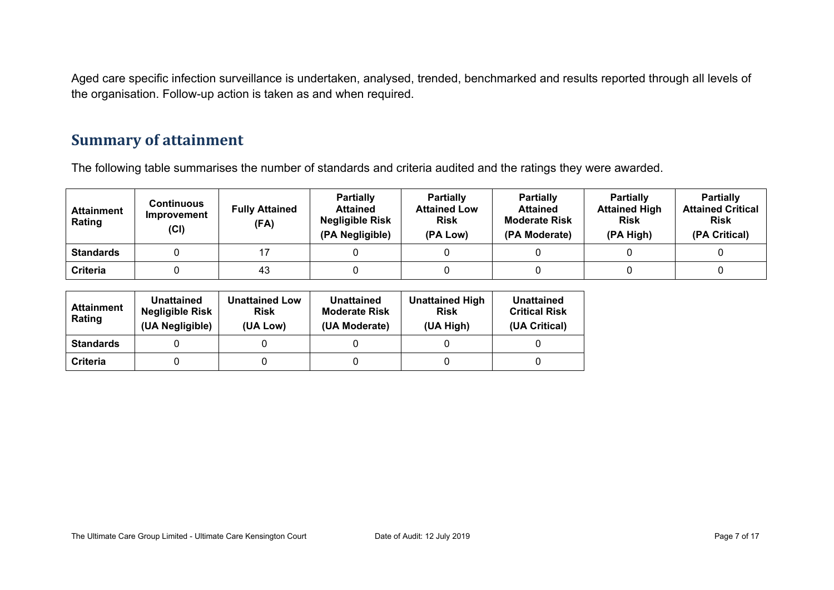Aged care specific infection surveillance is undertaken, analysed, trended, benchmarked and results reported through all levels of the organisation. Follow-up action is taken as and when required.

#### **Summary of attainment**

The following table summarises the number of standards and criteria audited and the ratings they were awarded.

| <b>Attainment</b><br>Rating | <b>Continuous</b><br>Improvement<br>(Cl) | <b>Fully Attained</b><br>(FA) | <b>Partially</b><br><b>Attained</b><br><b>Negligible Risk</b><br>(PA Negligible) | <b>Partially</b><br><b>Attained Low</b><br><b>Risk</b><br>(PA Low) | <b>Partially</b><br><b>Attained</b><br><b>Moderate Risk</b><br>(PA Moderate) | <b>Partially</b><br><b>Attained High</b><br><b>Risk</b><br>(PA High) | <b>Partially</b><br><b>Attained Critical</b><br><b>Risk</b><br>(PA Critical) |
|-----------------------------|------------------------------------------|-------------------------------|----------------------------------------------------------------------------------|--------------------------------------------------------------------|------------------------------------------------------------------------------|----------------------------------------------------------------------|------------------------------------------------------------------------------|
| <b>Standards</b>            |                                          |                               |                                                                                  |                                                                    |                                                                              |                                                                      |                                                                              |
| Criteria                    |                                          | 43                            |                                                                                  |                                                                    |                                                                              |                                                                      |                                                                              |

| <b>Attainment</b><br>Rating | <b>Unattained</b><br><b>Negligible Risk</b><br>(UA Negligible) | <b>Unattained Low</b><br><b>Risk</b><br>(UA Low) | Unattained<br><b>Moderate Risk</b><br>(UA Moderate) | <b>Unattained High</b><br><b>Risk</b><br>(UA High) | Unattained<br><b>Critical Risk</b><br>(UA Critical) |
|-----------------------------|----------------------------------------------------------------|--------------------------------------------------|-----------------------------------------------------|----------------------------------------------------|-----------------------------------------------------|
| <b>Standards</b>            |                                                                |                                                  |                                                     |                                                    |                                                     |
| Criteria                    |                                                                |                                                  |                                                     |                                                    |                                                     |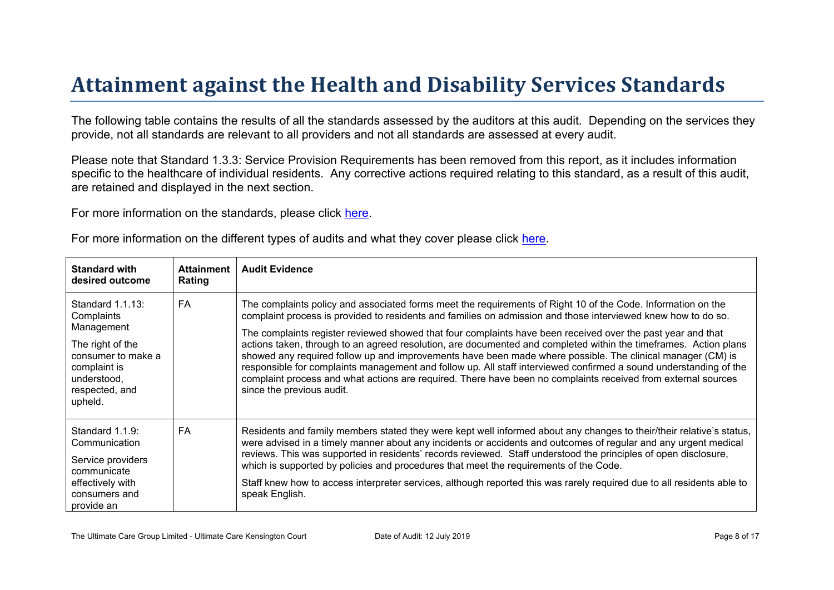# Attainment against the Health and Disability Ser vices Standar ds

The following table contains the results of all the standards assessed by the auditors at this audit. Depending on the services they provide, not all standards are relevant to all providers and not all standards are assessed at every audit.

Please note that Standard 1.3.3: Service Provision Requirements has been removed from this report, as it includes information specific to the healthcare of individual residents. Any corrective actions required relating to this standard, as a result of this audit, are retained and displayed in the next section.

For more information on the standards, please click [here](http://www.health.govt.nz/our-work/regulation-health-and-disability-system/certification-health-care-services/health-and-disability-services-standards).

| For more information on the different types of audits and what they cover please click here. |  |  |  |  |
|----------------------------------------------------------------------------------------------|--|--|--|--|
|----------------------------------------------------------------------------------------------|--|--|--|--|

| Standard with<br>desired outcome                                                                                                                   | Attainment<br>Rating | Audit Evidence                                                                                                                                                                                                                                                                                                                                                                                                                                                                                                                                                                                                                                                                                                                                                                                                                                    |
|----------------------------------------------------------------------------------------------------------------------------------------------------|----------------------|---------------------------------------------------------------------------------------------------------------------------------------------------------------------------------------------------------------------------------------------------------------------------------------------------------------------------------------------------------------------------------------------------------------------------------------------------------------------------------------------------------------------------------------------------------------------------------------------------------------------------------------------------------------------------------------------------------------------------------------------------------------------------------------------------------------------------------------------------|
| Standard 1.1.13:<br>Complaints<br>Management<br>The right of the<br>consumer to make a<br>complaint is<br>understood,<br>respected, and<br>upheld. | <b>FA</b>            | The complaints policy and associated forms meet the requirements of Right 10 of the Code. Information on the<br>complaint process is provided to residents and families on admission and those interviewed knew how to do so.<br>The complaints register reviewed showed that four complaints have been received over the past year and that<br>actions taken, through to an agreed resolution, are documented and completed within the timeframes. Action plans<br>showed any required follow up and improvements have been made where possible. The clinical manager (CM) is<br>responsible for complaints management and follow up. All staff interviewed confirmed a sound understanding of the<br>complaint process and what actions are required. There have been no complaints received from external sources<br>since the previous audit. |
| Standard 1.1.9:<br>Communication<br>Service providers<br>communicate<br>effectively with<br>consumers and<br>provide an                            | FA                   | Residents and family members stated they were kept well informed about any changes to their/their relative's status,<br>were advised in a timely manner about any incidents or accidents and outcomes of regular and any urgent medical<br>reviews. This was supported in residents' records reviewed. Staff understood the principles of open disclosure,<br>which is supported by policies and procedures that meet the requirements of the Code.<br>Staff knew how to access interpreter services, although reported this was rarely required due to all residents able to<br>speak English.                                                                                                                                                                                                                                                   |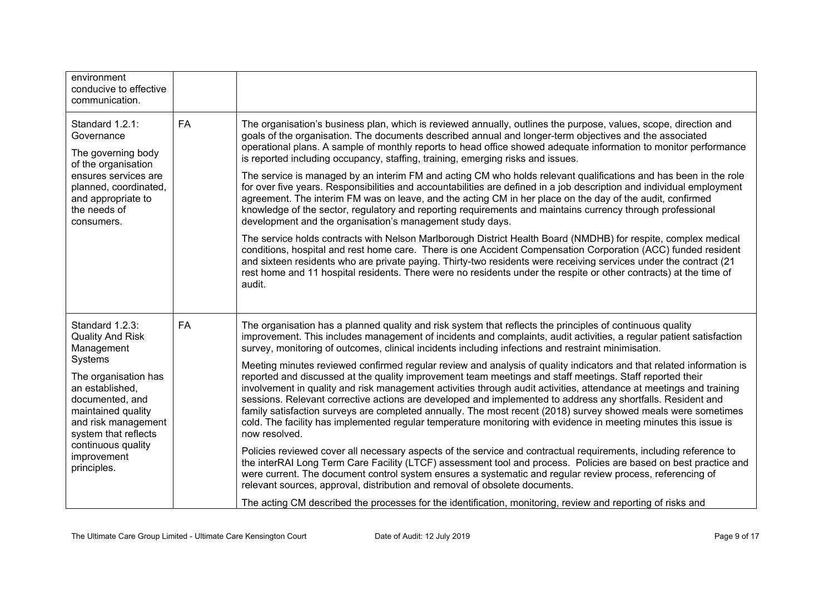| environment<br>conducive to effective<br>communication.                                                                                                                                                                                                    |           |                                                                                                                                                                                                                                                                                                                                                                                                                                                                                                                                                                                                                                                                                                                                                                                                                                                                                                                                                                                                                                                                                                                                                                                                                                                                                                                                                                                                                                                                                                                                                                                                                             |
|------------------------------------------------------------------------------------------------------------------------------------------------------------------------------------------------------------------------------------------------------------|-----------|-----------------------------------------------------------------------------------------------------------------------------------------------------------------------------------------------------------------------------------------------------------------------------------------------------------------------------------------------------------------------------------------------------------------------------------------------------------------------------------------------------------------------------------------------------------------------------------------------------------------------------------------------------------------------------------------------------------------------------------------------------------------------------------------------------------------------------------------------------------------------------------------------------------------------------------------------------------------------------------------------------------------------------------------------------------------------------------------------------------------------------------------------------------------------------------------------------------------------------------------------------------------------------------------------------------------------------------------------------------------------------------------------------------------------------------------------------------------------------------------------------------------------------------------------------------------------------------------------------------------------------|
| Standard 1.2.1:<br>Governance<br>The governing body<br>of the organisation<br>ensures services are<br>planned, coordinated,<br>and appropriate to<br>the needs of<br>consumers.                                                                            | FA        | The organisation's business plan, which is reviewed annually, outlines the purpose, values, scope, direction and<br>goals of the organisation. The documents described annual and longer-term objectives and the associated<br>operational plans. A sample of monthly reports to head office showed adequate information to monitor performance<br>is reported including occupancy, staffing, training, emerging risks and issues.<br>The service is managed by an interim FM and acting CM who holds relevant qualifications and has been in the role<br>for over five years. Responsibilities and accountabilities are defined in a job description and individual employment<br>agreement. The interim FM was on leave, and the acting CM in her place on the day of the audit, confirmed<br>knowledge of the sector, regulatory and reporting requirements and maintains currency through professional<br>development and the organisation's management study days.<br>The service holds contracts with Nelson Marlborough District Health Board (NMDHB) for respite, complex medical<br>conditions, hospital and rest home care. There is one Accident Compensation Corporation (ACC) funded resident<br>and sixteen residents who are private paying. Thirty-two residents were receiving services under the contract (21<br>rest home and 11 hospital residents. There were no residents under the respite or other contracts) at the time of<br>audit.                                                                                                                                                              |
| Standard 1.2.3:<br><b>Quality And Risk</b><br>Management<br>Systems<br>The organisation has<br>an established,<br>documented, and<br>maintained quality<br>and risk management<br>system that reflects<br>continuous quality<br>improvement<br>principles. | <b>FA</b> | The organisation has a planned quality and risk system that reflects the principles of continuous quality<br>improvement. This includes management of incidents and complaints, audit activities, a regular patient satisfaction<br>survey, monitoring of outcomes, clinical incidents including infections and restraint minimisation.<br>Meeting minutes reviewed confirmed regular review and analysis of quality indicators and that related information is<br>reported and discussed at the quality improvement team meetings and staff meetings. Staff reported their<br>involvement in quality and risk management activities through audit activities, attendance at meetings and training<br>sessions. Relevant corrective actions are developed and implemented to address any shortfalls. Resident and<br>family satisfaction surveys are completed annually. The most recent (2018) survey showed meals were sometimes<br>cold. The facility has implemented regular temperature monitoring with evidence in meeting minutes this issue is<br>now resolved.<br>Policies reviewed cover all necessary aspects of the service and contractual requirements, including reference to<br>the interRAI Long Term Care Facility (LTCF) assessment tool and process. Policies are based on best practice and<br>were current. The document control system ensures a systematic and regular review process, referencing of<br>relevant sources, approval, distribution and removal of obsolete documents.<br>The acting CM described the processes for the identification, monitoring, review and reporting of risks and |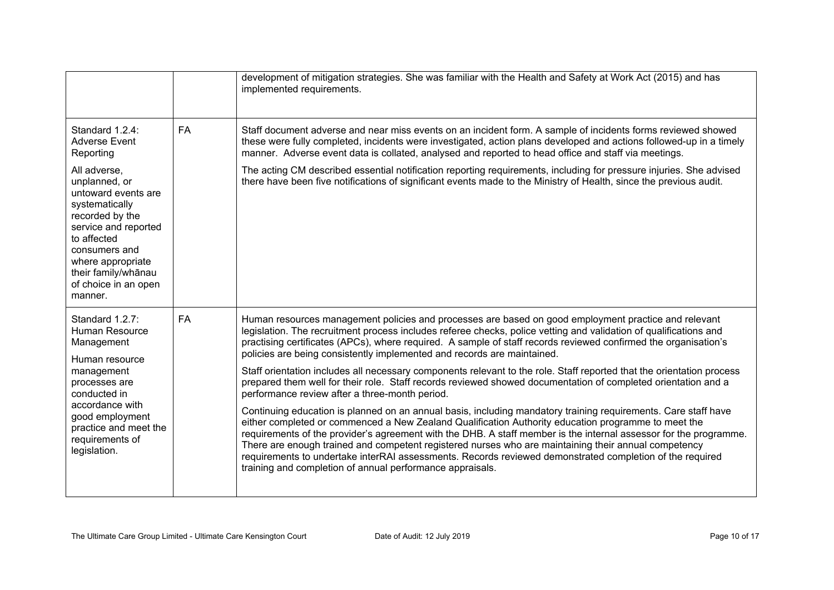|                                                                                                                                                                                                                                  |           | development of mitigation strategies. She was familiar with the Health and Safety at Work Act (2015) and has<br>implemented requirements.                                                                                                                                                                                                                                                                                                                                                                                                                                                                                   |
|----------------------------------------------------------------------------------------------------------------------------------------------------------------------------------------------------------------------------------|-----------|-----------------------------------------------------------------------------------------------------------------------------------------------------------------------------------------------------------------------------------------------------------------------------------------------------------------------------------------------------------------------------------------------------------------------------------------------------------------------------------------------------------------------------------------------------------------------------------------------------------------------------|
| Standard 1.2.4:<br><b>Adverse Event</b><br>Reporting                                                                                                                                                                             | <b>FA</b> | Staff document adverse and near miss events on an incident form. A sample of incidents forms reviewed showed<br>these were fully completed, incidents were investigated, action plans developed and actions followed-up in a timely<br>manner. Adverse event data is collated, analysed and reported to head office and staff via meetings.                                                                                                                                                                                                                                                                                 |
| All adverse,<br>unplanned, or<br>untoward events are<br>systematically<br>recorded by the<br>service and reported<br>to affected<br>consumers and<br>where appropriate<br>their family/whānau<br>of choice in an open<br>manner. |           | The acting CM described essential notification reporting requirements, including for pressure injuries. She advised<br>there have been five notifications of significant events made to the Ministry of Health, since the previous audit.                                                                                                                                                                                                                                                                                                                                                                                   |
| Standard 1.2.7:<br>Human Resource<br>Management<br>Human resource<br>management<br>processes are<br>conducted in<br>accordance with<br>good employment<br>practice and meet the<br>requirements of<br>legislation.               | <b>FA</b> | Human resources management policies and processes are based on good employment practice and relevant<br>legislation. The recruitment process includes referee checks, police vetting and validation of qualifications and<br>practising certificates (APCs), where required. A sample of staff records reviewed confirmed the organisation's<br>policies are being consistently implemented and records are maintained.                                                                                                                                                                                                     |
|                                                                                                                                                                                                                                  |           | Staff orientation includes all necessary components relevant to the role. Staff reported that the orientation process<br>prepared them well for their role. Staff records reviewed showed documentation of completed orientation and a<br>performance review after a three-month period.                                                                                                                                                                                                                                                                                                                                    |
|                                                                                                                                                                                                                                  |           | Continuing education is planned on an annual basis, including mandatory training requirements. Care staff have<br>either completed or commenced a New Zealand Qualification Authority education programme to meet the<br>requirements of the provider's agreement with the DHB. A staff member is the internal assessor for the programme.<br>There are enough trained and competent registered nurses who are maintaining their annual competency<br>requirements to undertake interRAI assessments. Records reviewed demonstrated completion of the required<br>training and completion of annual performance appraisals. |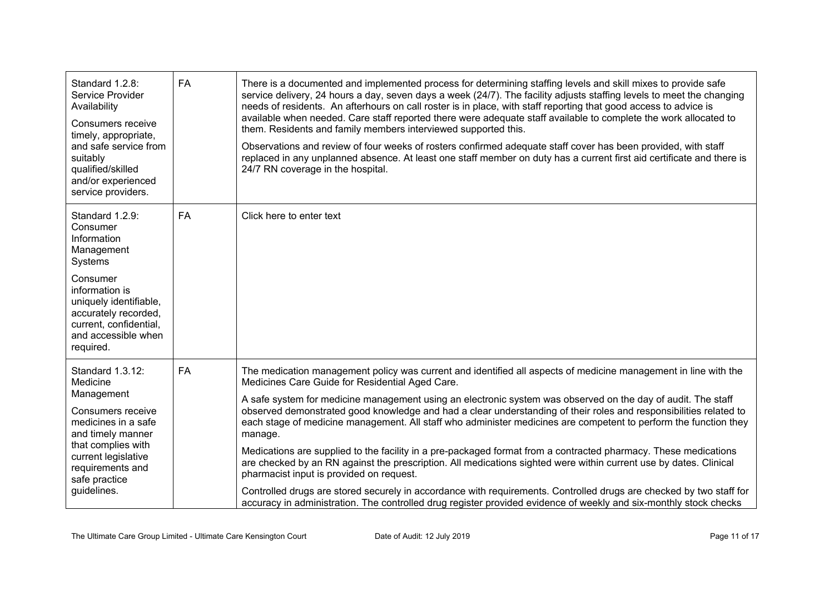| Standard 1.2.8:<br>Service Provider<br>Availability<br>Consumers receive<br>timely, appropriate,<br>and safe service from<br>suitably<br>qualified/skilled<br>and/or experienced<br>service providers.            | <b>FA</b> | There is a documented and implemented process for determining staffing levels and skill mixes to provide safe<br>service delivery, 24 hours a day, seven days a week (24/7). The facility adjusts staffing levels to meet the changing<br>needs of residents. An afterhours on call roster is in place, with staff reporting that good access to advice is<br>available when needed. Care staff reported there were adequate staff available to complete the work allocated to<br>them. Residents and family members interviewed supported this.<br>Observations and review of four weeks of rosters confirmed adequate staff cover has been provided, with staff<br>replaced in any unplanned absence. At least one staff member on duty has a current first aid certificate and there is<br>24/7 RN coverage in the hospital.                                                                                                                                                                                                                                        |
|-------------------------------------------------------------------------------------------------------------------------------------------------------------------------------------------------------------------|-----------|------------------------------------------------------------------------------------------------------------------------------------------------------------------------------------------------------------------------------------------------------------------------------------------------------------------------------------------------------------------------------------------------------------------------------------------------------------------------------------------------------------------------------------------------------------------------------------------------------------------------------------------------------------------------------------------------------------------------------------------------------------------------------------------------------------------------------------------------------------------------------------------------------------------------------------------------------------------------------------------------------------------------------------------------------------------------|
| Standard 1.2.9:<br>Consumer<br>Information<br>Management<br>Systems<br>Consumer<br>information is<br>uniquely identifiable,<br>accurately recorded,<br>current, confidential,<br>and accessible when<br>required. | <b>FA</b> | Click here to enter text                                                                                                                                                                                                                                                                                                                                                                                                                                                                                                                                                                                                                                                                                                                                                                                                                                                                                                                                                                                                                                               |
| Standard 1.3.12:<br>Medicine<br>Management<br>Consumers receive<br>medicines in a safe<br>and timely manner<br>that complies with<br>current legislative<br>requirements and<br>safe practice<br>guidelines.      | <b>FA</b> | The medication management policy was current and identified all aspects of medicine management in line with the<br>Medicines Care Guide for Residential Aged Care.<br>A safe system for medicine management using an electronic system was observed on the day of audit. The staff<br>observed demonstrated good knowledge and had a clear understanding of their roles and responsibilities related to<br>each stage of medicine management. All staff who administer medicines are competent to perform the function they<br>manage.<br>Medications are supplied to the facility in a pre-packaged format from a contracted pharmacy. These medications<br>are checked by an RN against the prescription. All medications sighted were within current use by dates. Clinical<br>pharmacist input is provided on request.<br>Controlled drugs are stored securely in accordance with requirements. Controlled drugs are checked by two staff for<br>accuracy in administration. The controlled drug register provided evidence of weekly and six-monthly stock checks |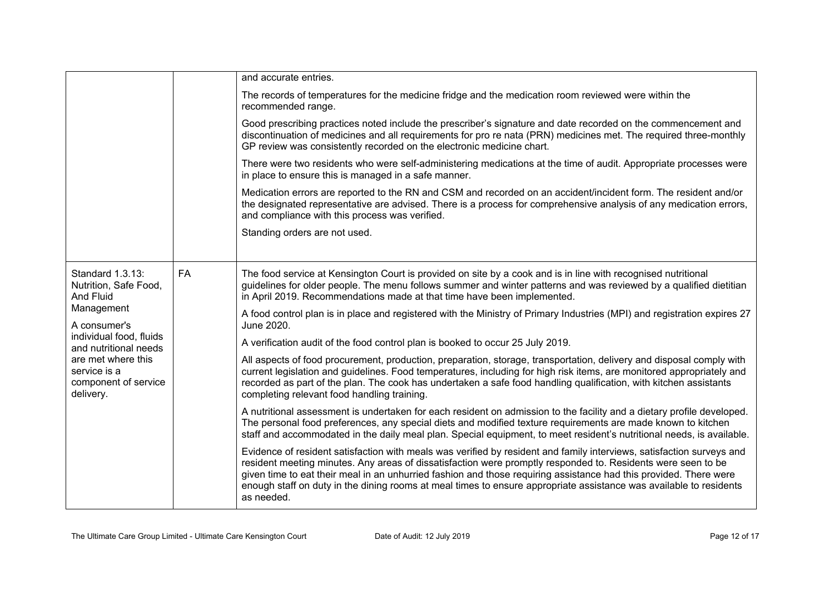|                                                                                      |           | and accurate entries.                                                                                                                                                                                                                                                                                                                                                                                                                                                                          |
|--------------------------------------------------------------------------------------|-----------|------------------------------------------------------------------------------------------------------------------------------------------------------------------------------------------------------------------------------------------------------------------------------------------------------------------------------------------------------------------------------------------------------------------------------------------------------------------------------------------------|
|                                                                                      |           | The records of temperatures for the medicine fridge and the medication room reviewed were within the<br>recommended range.                                                                                                                                                                                                                                                                                                                                                                     |
|                                                                                      |           | Good prescribing practices noted include the prescriber's signature and date recorded on the commencement and<br>discontinuation of medicines and all requirements for pro re nata (PRN) medicines met. The required three-monthly<br>GP review was consistently recorded on the electronic medicine chart.                                                                                                                                                                                    |
|                                                                                      |           | There were two residents who were self-administering medications at the time of audit. Appropriate processes were<br>in place to ensure this is managed in a safe manner.                                                                                                                                                                                                                                                                                                                      |
|                                                                                      |           | Medication errors are reported to the RN and CSM and recorded on an accident/incident form. The resident and/or<br>the designated representative are advised. There is a process for comprehensive analysis of any medication errors,<br>and compliance with this process was verified.                                                                                                                                                                                                        |
|                                                                                      |           | Standing orders are not used.                                                                                                                                                                                                                                                                                                                                                                                                                                                                  |
| Standard 1.3.13:<br>Nutrition, Safe Food,<br>And Fluid<br>Management<br>A consumer's | <b>FA</b> | The food service at Kensington Court is provided on site by a cook and is in line with recognised nutritional<br>guidelines for older people. The menu follows summer and winter patterns and was reviewed by a qualified dietitian<br>in April 2019. Recommendations made at that time have been implemented.                                                                                                                                                                                 |
|                                                                                      |           | A food control plan is in place and registered with the Ministry of Primary Industries (MPI) and registration expires 27<br>June 2020.                                                                                                                                                                                                                                                                                                                                                         |
| individual food, fluids<br>and nutritional needs                                     |           | A verification audit of the food control plan is booked to occur 25 July 2019.                                                                                                                                                                                                                                                                                                                                                                                                                 |
| are met where this<br>service is a<br>component of service<br>delivery.              |           | All aspects of food procurement, production, preparation, storage, transportation, delivery and disposal comply with<br>current legislation and guidelines. Food temperatures, including for high risk items, are monitored appropriately and<br>recorded as part of the plan. The cook has undertaken a safe food handling qualification, with kitchen assistants<br>completing relevant food handling training.                                                                              |
|                                                                                      |           | A nutritional assessment is undertaken for each resident on admission to the facility and a dietary profile developed.<br>The personal food preferences, any special diets and modified texture requirements are made known to kitchen<br>staff and accommodated in the daily meal plan. Special equipment, to meet resident's nutritional needs, is available.                                                                                                                                |
|                                                                                      |           | Evidence of resident satisfaction with meals was verified by resident and family interviews, satisfaction surveys and<br>resident meeting minutes. Any areas of dissatisfaction were promptly responded to. Residents were seen to be<br>given time to eat their meal in an unhurried fashion and those requiring assistance had this provided. There were<br>enough staff on duty in the dining rooms at meal times to ensure appropriate assistance was available to residents<br>as needed. |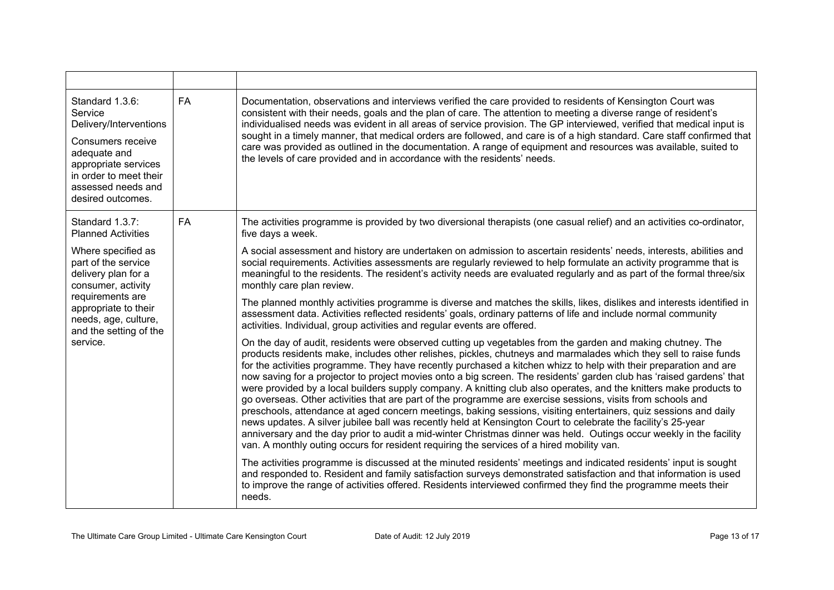| Standard 1.3.6:<br>Service<br>Delivery/Interventions<br>Consumers receive<br>adequate and<br>appropriate services<br>in order to meet their<br>assessed needs and<br>desired outcomes.           | <b>FA</b> | Documentation, observations and interviews verified the care provided to residents of Kensington Court was<br>consistent with their needs, goals and the plan of care. The attention to meeting a diverse range of resident's<br>individualised needs was evident in all areas of service provision. The GP interviewed, verified that medical input is<br>sought in a timely manner, that medical orders are followed, and care is of a high standard. Care staff confirmed that<br>care was provided as outlined in the documentation. A range of equipment and resources was available, suited to<br>the levels of care provided and in accordance with the residents' needs.                                                                                                                                                                                                                                                                                                                                                                                                                                                                                           |
|--------------------------------------------------------------------------------------------------------------------------------------------------------------------------------------------------|-----------|----------------------------------------------------------------------------------------------------------------------------------------------------------------------------------------------------------------------------------------------------------------------------------------------------------------------------------------------------------------------------------------------------------------------------------------------------------------------------------------------------------------------------------------------------------------------------------------------------------------------------------------------------------------------------------------------------------------------------------------------------------------------------------------------------------------------------------------------------------------------------------------------------------------------------------------------------------------------------------------------------------------------------------------------------------------------------------------------------------------------------------------------------------------------------|
| Standard 1.3.7:<br><b>Planned Activities</b>                                                                                                                                                     | <b>FA</b> | The activities programme is provided by two diversional therapists (one casual relief) and an activities co-ordinator,<br>five days a week.                                                                                                                                                                                                                                                                                                                                                                                                                                                                                                                                                                                                                                                                                                                                                                                                                                                                                                                                                                                                                                |
| Where specified as<br>part of the service<br>delivery plan for a<br>consumer, activity<br>requirements are<br>appropriate to their<br>needs, age, culture,<br>and the setting of the<br>service. |           | A social assessment and history are undertaken on admission to ascertain residents' needs, interests, abilities and<br>social requirements. Activities assessments are regularly reviewed to help formulate an activity programme that is<br>meaningful to the residents. The resident's activity needs are evaluated regularly and as part of the formal three/six<br>monthly care plan review.<br>The planned monthly activities programme is diverse and matches the skills, likes, dislikes and interests identified in<br>assessment data. Activities reflected residents' goals, ordinary patterns of life and include normal community<br>activities. Individual, group activities and regular events are offered.                                                                                                                                                                                                                                                                                                                                                                                                                                                  |
|                                                                                                                                                                                                  |           | On the day of audit, residents were observed cutting up vegetables from the garden and making chutney. The<br>products residents make, includes other relishes, pickles, chutneys and marmalades which they sell to raise funds<br>for the activities programme. They have recently purchased a kitchen whizz to help with their preparation and are<br>now saving for a projector to project movies onto a big screen. The residents' garden club has 'raised gardens' that<br>were provided by a local builders supply company. A knitting club also operates, and the knitters make products to<br>go overseas. Other activities that are part of the programme are exercise sessions, visits from schools and<br>preschools, attendance at aged concern meetings, baking sessions, visiting entertainers, quiz sessions and daily<br>news updates. A silver jubilee ball was recently held at Kensington Court to celebrate the facility's 25-year<br>anniversary and the day prior to audit a mid-winter Christmas dinner was held. Outings occur weekly in the facility<br>van. A monthly outing occurs for resident requiring the services of a hired mobility van. |
|                                                                                                                                                                                                  |           | The activities programme is discussed at the minuted residents' meetings and indicated residents' input is sought<br>and responded to. Resident and family satisfaction surveys demonstrated satisfaction and that information is used<br>to improve the range of activities offered. Residents interviewed confirmed they find the programme meets their<br>needs.                                                                                                                                                                                                                                                                                                                                                                                                                                                                                                                                                                                                                                                                                                                                                                                                        |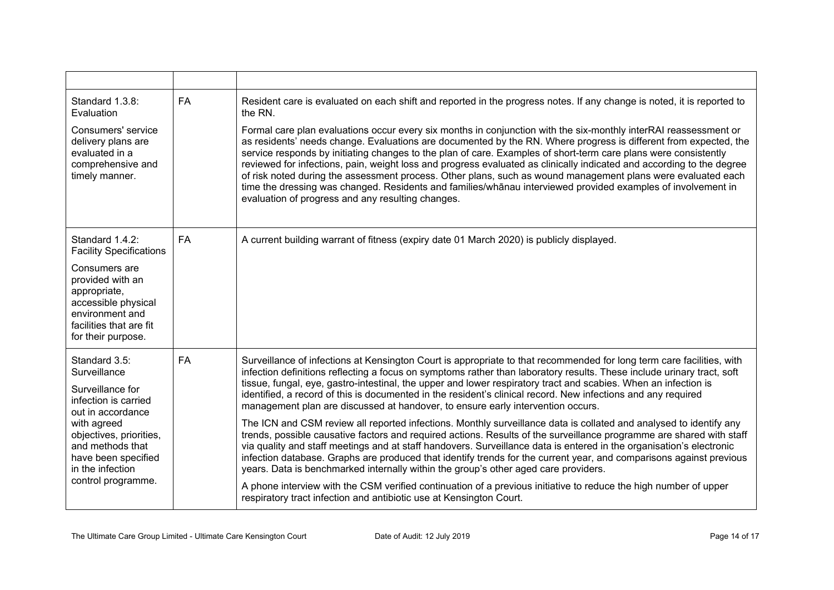| Standard 1.3.8:<br>Evaluation                                                                                                                                                                                                 | <b>FA</b> | Resident care is evaluated on each shift and reported in the progress notes. If any change is noted, it is reported to<br>the RN.                                                                                                                                                                                                                                                                                                                                                                                                                                                                                                                                                                                                                                     |
|-------------------------------------------------------------------------------------------------------------------------------------------------------------------------------------------------------------------------------|-----------|-----------------------------------------------------------------------------------------------------------------------------------------------------------------------------------------------------------------------------------------------------------------------------------------------------------------------------------------------------------------------------------------------------------------------------------------------------------------------------------------------------------------------------------------------------------------------------------------------------------------------------------------------------------------------------------------------------------------------------------------------------------------------|
| Consumers' service<br>delivery plans are<br>evaluated in a<br>comprehensive and<br>timely manner.                                                                                                                             |           | Formal care plan evaluations occur every six months in conjunction with the six-monthly interRAI reassessment or<br>as residents' needs change. Evaluations are documented by the RN. Where progress is different from expected, the<br>service responds by initiating changes to the plan of care. Examples of short-term care plans were consistently<br>reviewed for infections, pain, weight loss and progress evaluated as clinically indicated and according to the degree<br>of risk noted during the assessment process. Other plans, such as wound management plans were evaluated each<br>time the dressing was changed. Residents and families/whānau interviewed provided examples of involvement in<br>evaluation of progress and any resulting changes. |
| Standard 1.4.2:<br><b>Facility Specifications</b>                                                                                                                                                                             | <b>FA</b> | A current building warrant of fitness (expiry date 01 March 2020) is publicly displayed.                                                                                                                                                                                                                                                                                                                                                                                                                                                                                                                                                                                                                                                                              |
| Consumers are<br>provided with an<br>appropriate,<br>accessible physical<br>environment and<br>facilities that are fit<br>for their purpose.                                                                                  |           |                                                                                                                                                                                                                                                                                                                                                                                                                                                                                                                                                                                                                                                                                                                                                                       |
| Standard 3.5:<br>Surveillance<br>Surveillance for<br>infection is carried<br>out in accordance<br>with agreed<br>objectives, priorities,<br>and methods that<br>have been specified<br>in the infection<br>control programme. | <b>FA</b> | Surveillance of infections at Kensington Court is appropriate to that recommended for long term care facilities, with<br>infection definitions reflecting a focus on symptoms rather than laboratory results. These include urinary tract, soft<br>tissue, fungal, eye, gastro-intestinal, the upper and lower respiratory tract and scabies. When an infection is<br>identified, a record of this is documented in the resident's clinical record. New infections and any required<br>management plan are discussed at handover, to ensure early intervention occurs.                                                                                                                                                                                                |
|                                                                                                                                                                                                                               |           | The ICN and CSM review all reported infections. Monthly surveillance data is collated and analysed to identify any<br>trends, possible causative factors and required actions. Results of the surveillance programme are shared with staff<br>via quality and staff meetings and at staff handovers. Surveillance data is entered in the organisation's electronic<br>infection database. Graphs are produced that identify trends for the current year, and comparisons against previous<br>years. Data is benchmarked internally within the group's other aged care providers.                                                                                                                                                                                      |
|                                                                                                                                                                                                                               |           | A phone interview with the CSM verified continuation of a previous initiative to reduce the high number of upper<br>respiratory tract infection and antibiotic use at Kensington Court.                                                                                                                                                                                                                                                                                                                                                                                                                                                                                                                                                                               |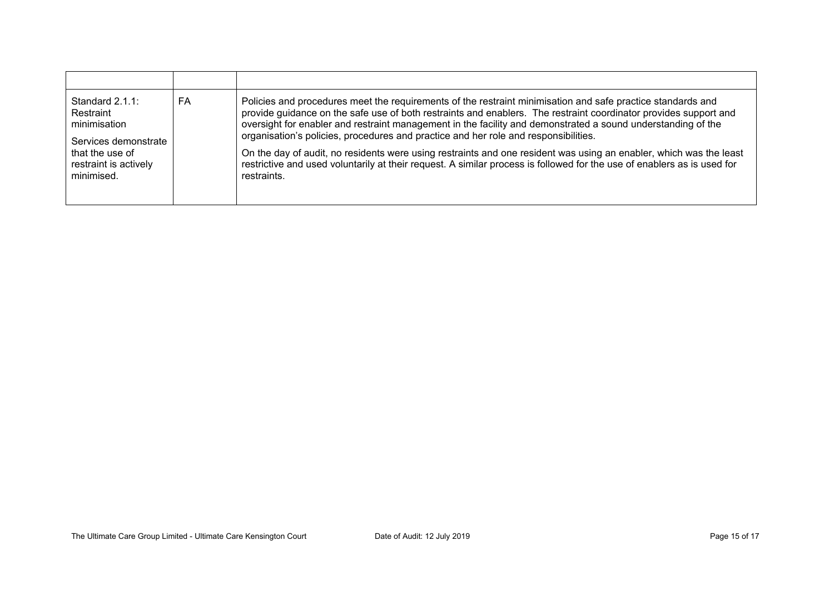| Standard $2.1.1$ :<br>Restraint<br>minimisation<br>Services demonstrate<br>that the use of<br>restraint is actively<br>minimised. | FA | Policies and procedures meet the requirements of the restraint minimisation and safe practice standards and<br>provide guidance on the safe use of both restraints and enablers. The restraint coordinator provides support and<br>oversight for enabler and restraint management in the facility and demonstrated a sound understanding of the<br>organisation's policies, procedures and practice and her role and responsibilities.<br>On the day of audit, no residents were using restraints and one resident was using an enabler, which was the least<br>restrictive and used voluntarily at their request. A similar process is followed for the use of enablers as is used for<br>restraints. |
|-----------------------------------------------------------------------------------------------------------------------------------|----|--------------------------------------------------------------------------------------------------------------------------------------------------------------------------------------------------------------------------------------------------------------------------------------------------------------------------------------------------------------------------------------------------------------------------------------------------------------------------------------------------------------------------------------------------------------------------------------------------------------------------------------------------------------------------------------------------------|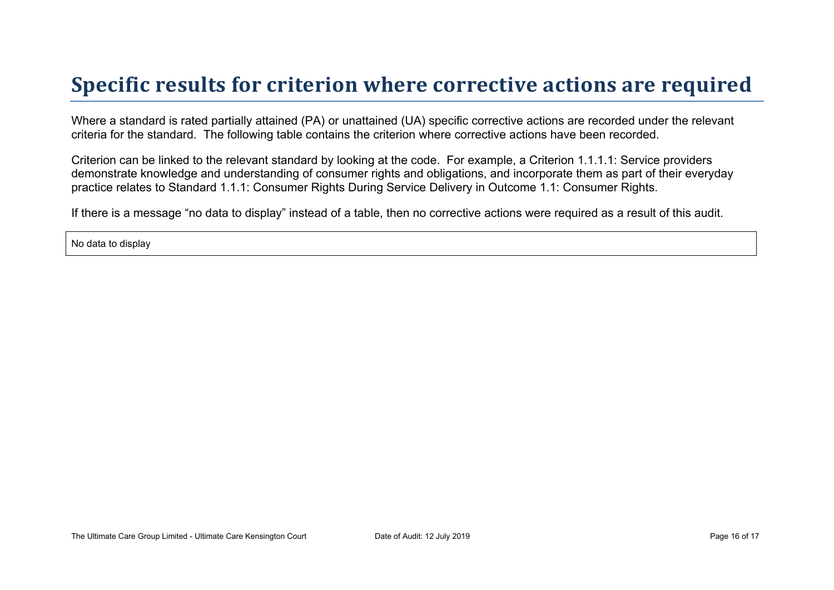### **Specific results for criterion where corrective actions are required**

Where a standard is rated partially attained (PA) or unattained (UA) specific corrective actions are recorded under the relevant criteria for the standard. The following table contains the criterion where corrective actions have been recorded.

Criterion can be linked to the relevant standard by looking at the code. For example, a Criterion 1.1.1.1: Service providers demonstrate knowledge and understanding of consumer rights and obligations, and incorporate them as part of their everyday practice relates to Standard 1.1.1: Consumer Rights During Service Delivery in Outcome 1.1: Consumer Rights.

If there is a message "no data to display" instead of a table, then no corrective actions were required as a result of this audit.

No data to display